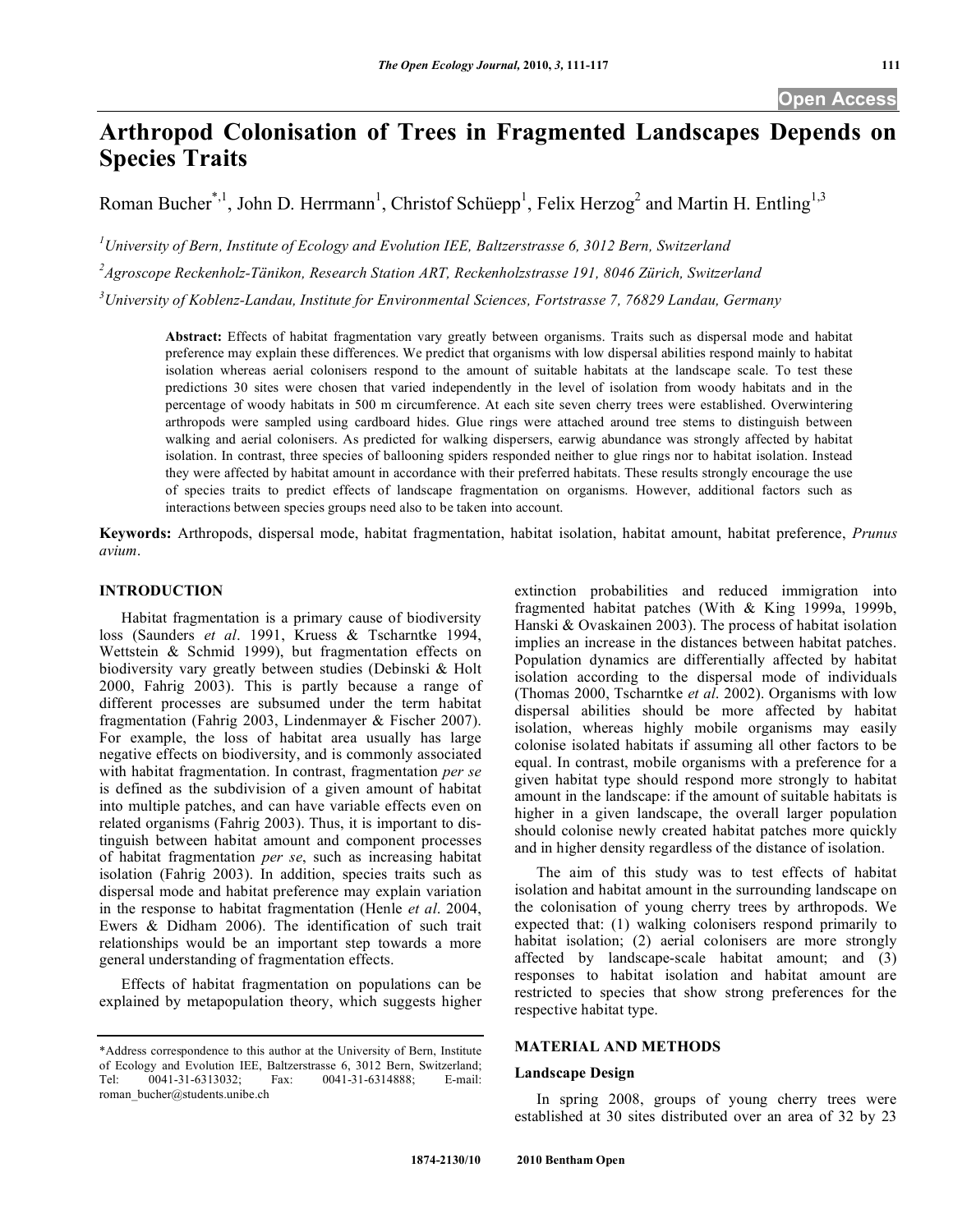# **Arthropod Colonisation of Trees in Fragmented Landscapes Depends on Species Traits**

Roman Bucher<sup>\*, 1</sup>, John D. Herrmann<sup>1</sup>, Christof Schüepp<sup>1</sup>, Felix Herzog<sup>2</sup> and Martin H. Entling<sup>1,3</sup>

*1 University of Bern, Institute of Ecology and Evolution IEE, Baltzerstrasse 6, 3012 Bern, Switzerland*

*2 Agroscope Reckenholz-Tänikon, Research Station ART, Reckenholzstrasse 191, 8046 Zürich, Switzerland*

*3 University of Koblenz-Landau, Institute for Environmental Sciences, Fortstrasse 7, 76829 Landau, Germany*

**Abstract:** Effects of habitat fragmentation vary greatly between organisms. Traits such as dispersal mode and habitat preference may explain these differences. We predict that organisms with low dispersal abilities respond mainly to habitat isolation whereas aerial colonisers respond to the amount of suitable habitats at the landscape scale. To test these predictions 30 sites were chosen that varied independently in the level of isolation from woody habitats and in the percentage of woody habitats in 500 m circumference. At each site seven cherry trees were established. Overwintering arthropods were sampled using cardboard hides. Glue rings were attached around tree stems to distinguish between walking and aerial colonisers. As predicted for walking dispersers, earwig abundance was strongly affected by habitat isolation. In contrast, three species of ballooning spiders responded neither to glue rings nor to habitat isolation. Instead they were affected by habitat amount in accordance with their preferred habitats. These results strongly encourage the use of species traits to predict effects of landscape fragmentation on organisms. However, additional factors such as interactions between species groups need also to be taken into account.

**Keywords:** Arthropods, dispersal mode, habitat fragmentation, habitat isolation, habitat amount, habitat preference, *Prunus avium*.

# **INTRODUCTION**

Habitat fragmentation is a primary cause of biodiversity loss (Saunders *et al*. 1991, Kruess & Tscharntke 1994, Wettstein & Schmid 1999), but fragmentation effects on biodiversity vary greatly between studies (Debinski & Holt 2000, Fahrig 2003). This is partly because a range of different processes are subsumed under the term habitat fragmentation (Fahrig 2003, Lindenmayer & Fischer 2007). For example, the loss of habitat area usually has large negative effects on biodiversity, and is commonly associated with habitat fragmentation. In contrast, fragmentation *per se* is defined as the subdivision of a given amount of habitat into multiple patches, and can have variable effects even on related organisms (Fahrig 2003). Thus, it is important to distinguish between habitat amount and component processes of habitat fragmentation *per se*, such as increasing habitat isolation (Fahrig 2003). In addition, species traits such as dispersal mode and habitat preference may explain variation in the response to habitat fragmentation (Henle *et al*. 2004, Ewers & Didham 2006). The identification of such trait relationships would be an important step towards a more general understanding of fragmentation effects.

Effects of habitat fragmentation on populations can be explained by metapopulation theory, which suggests higher extinction probabilities and reduced immigration into fragmented habitat patches (With & King 1999a, 1999b, Hanski & Ovaskainen 2003). The process of habitat isolation implies an increase in the distances between habitat patches. Population dynamics are differentially affected by habitat isolation according to the dispersal mode of individuals (Thomas 2000, Tscharntke *et al*. 2002). Organisms with low dispersal abilities should be more affected by habitat isolation, whereas highly mobile organisms may easily colonise isolated habitats if assuming all other factors to be equal. In contrast, mobile organisms with a preference for a given habitat type should respond more strongly to habitat amount in the landscape: if the amount of suitable habitats is higher in a given landscape, the overall larger population should colonise newly created habitat patches more quickly and in higher density regardless of the distance of isolation.

The aim of this study was to test effects of habitat isolation and habitat amount in the surrounding landscape on the colonisation of young cherry trees by arthropods. We expected that: (1) walking colonisers respond primarily to habitat isolation; (2) aerial colonisers are more strongly affected by landscape-scale habitat amount; and (3) responses to habitat isolation and habitat amount are restricted to species that show strong preferences for the respective habitat type.

# **MATERIAL AND METHODS**

#### **Landscape Design**

In spring 2008, groups of young cherry trees were established at 30 sites distributed over an area of 32 by 23

<sup>\*</sup>Address correspondence to this author at the University of Bern, Institute of Ecology and Evolution IEE, Baltzerstrasse 6, 3012 Bern, Switzerland; Tel: 0041-31-6313032; Fax: 0041-31-6314888; E-mail: roman\_bucher@students.unibe.ch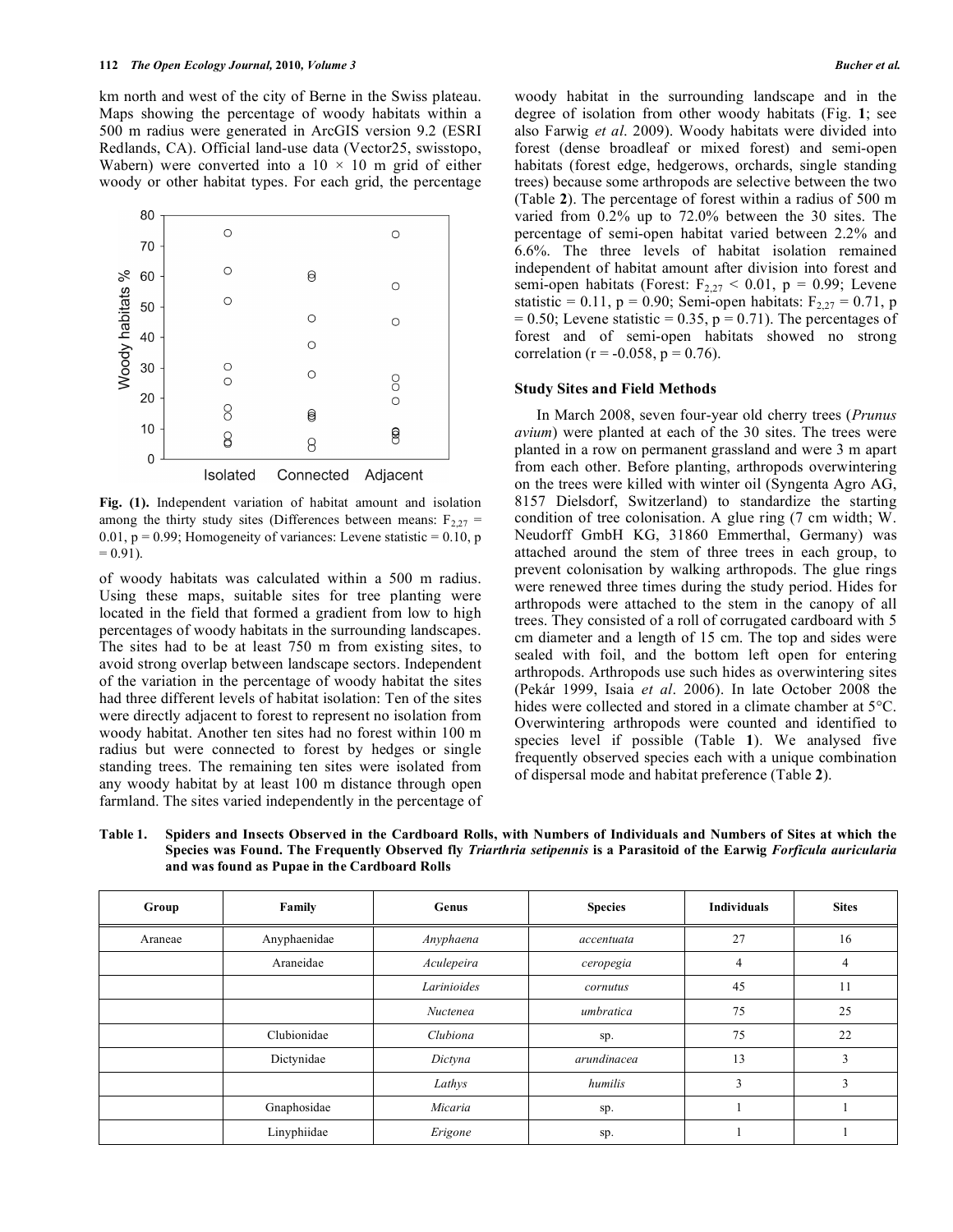km north and west of the city of Berne in the Swiss plateau. Maps showing the percentage of woody habitats within a 500 m radius were generated in ArcGIS version 9.2 (ESRI Redlands, CA). Official land-use data (Vector25, swisstopo, Wabern) were converted into a  $10 \times 10$  m grid of either woody or other habitat types. For each grid, the percentage



**Fig. (1).** Independent variation of habitat amount and isolation among the thirty study sites (Differences between means:  $F_{2,27}$  = 0.01,  $p = 0.99$ ; Homogeneity of variances: Levene statistic = 0.10, p  $= 0.91$ ).

of woody habitats was calculated within a 500 m radius. Using these maps, suitable sites for tree planting were located in the field that formed a gradient from low to high percentages of woody habitats in the surrounding landscapes. The sites had to be at least 750 m from existing sites, to avoid strong overlap between landscape sectors. Independent of the variation in the percentage of woody habitat the sites had three different levels of habitat isolation: Ten of the sites were directly adjacent to forest to represent no isolation from woody habitat. Another ten sites had no forest within 100 m radius but were connected to forest by hedges or single standing trees. The remaining ten sites were isolated from any woody habitat by at least 100 m distance through open farmland. The sites varied independently in the percentage of woody habitat in the surrounding landscape and in the degree of isolation from other woody habitats (Fig. **1**; see also Farwig *et al*. 2009). Woody habitats were divided into forest (dense broadleaf or mixed forest) and semi-open habitats (forest edge, hedgerows, orchards, single standing trees) because some arthropods are selective between the two (Table **2**). The percentage of forest within a radius of 500 m varied from 0.2% up to 72.0% between the 30 sites. The percentage of semi-open habitat varied between 2.2% and 6.6%. The three levels of habitat isolation remained independent of habitat amount after division into forest and semi-open habitats (Forest:  $F_{2,27}$  < 0.01, p = 0.99; Levene statistic = 0.11, p = 0.90; Semi-open habitats:  $F_{2,27} = 0.71$ , p  $= 0.50$ ; Levene statistic  $= 0.35$ ,  $p = 0.71$ ). The percentages of forest and of semi-open habitats showed no strong correlation ( $r = -0.058$ ,  $p = 0.76$ ).

#### **Study Sites and Field Methods**

In March 2008, seven four-year old cherry trees (*Prunus avium*) were planted at each of the 30 sites. The trees were planted in a row on permanent grassland and were 3 m apart from each other. Before planting, arthropods overwintering on the trees were killed with winter oil (Syngenta Agro AG, 8157 Dielsdorf, Switzerland) to standardize the starting condition of tree colonisation. A glue ring (7 cm width; W. Neudorff GmbH KG, 31860 Emmerthal, Germany) was attached around the stem of three trees in each group, to prevent colonisation by walking arthropods. The glue rings were renewed three times during the study period. Hides for arthropods were attached to the stem in the canopy of all trees. They consisted of a roll of corrugated cardboard with 5 cm diameter and a length of 15 cm. The top and sides were sealed with foil, and the bottom left open for entering arthropods. Arthropods use such hides as overwintering sites (Pekár 1999, Isaia *et al*. 2006). In late October 2008 the hides were collected and stored in a climate chamber at  $5^{\circ}$ C. Overwintering arthropods were counted and identified to species level if possible (Table **1**). We analysed five frequently observed species each with a unique combination of dispersal mode and habitat preference (Table **2**).

**Table 1. Spiders and Insects Observed in the Cardboard Rolls, with Numbers of Individuals and Numbers of Sites at which the Species was Found. The Frequently Observed fly** *Triarthria setipennis* **is a Parasitoid of the Earwig** *Forficula auricularia* **and was found as Pupae in the Cardboard Rolls**

| Group   | Family       | Genus       | <b>Species</b> | <b>Individuals</b> | <b>Sites</b> |
|---------|--------------|-------------|----------------|--------------------|--------------|
| Araneae | Anyphaenidae | Anyphaena   | accentuata     | 27                 | 16           |
|         | Araneidae    | Aculepeira  | ceropegia      | 4                  | 4            |
|         |              | Larinioides | cornutus       | 45                 | 11           |
|         |              | Nuctenea    | umbratica      | 75                 | 25           |
|         | Clubionidae  | Clubiona    | sp.            | 75                 | 22           |
|         | Dictynidae   | Dictyna     | arundinacea    | 13                 | 3            |
|         |              | Lathys      | humilis        | 3                  | 3            |
|         | Gnaphosidae  | Micaria     | sp.            |                    |              |
|         | Linyphiidae  | Erigone     | sp.            |                    |              |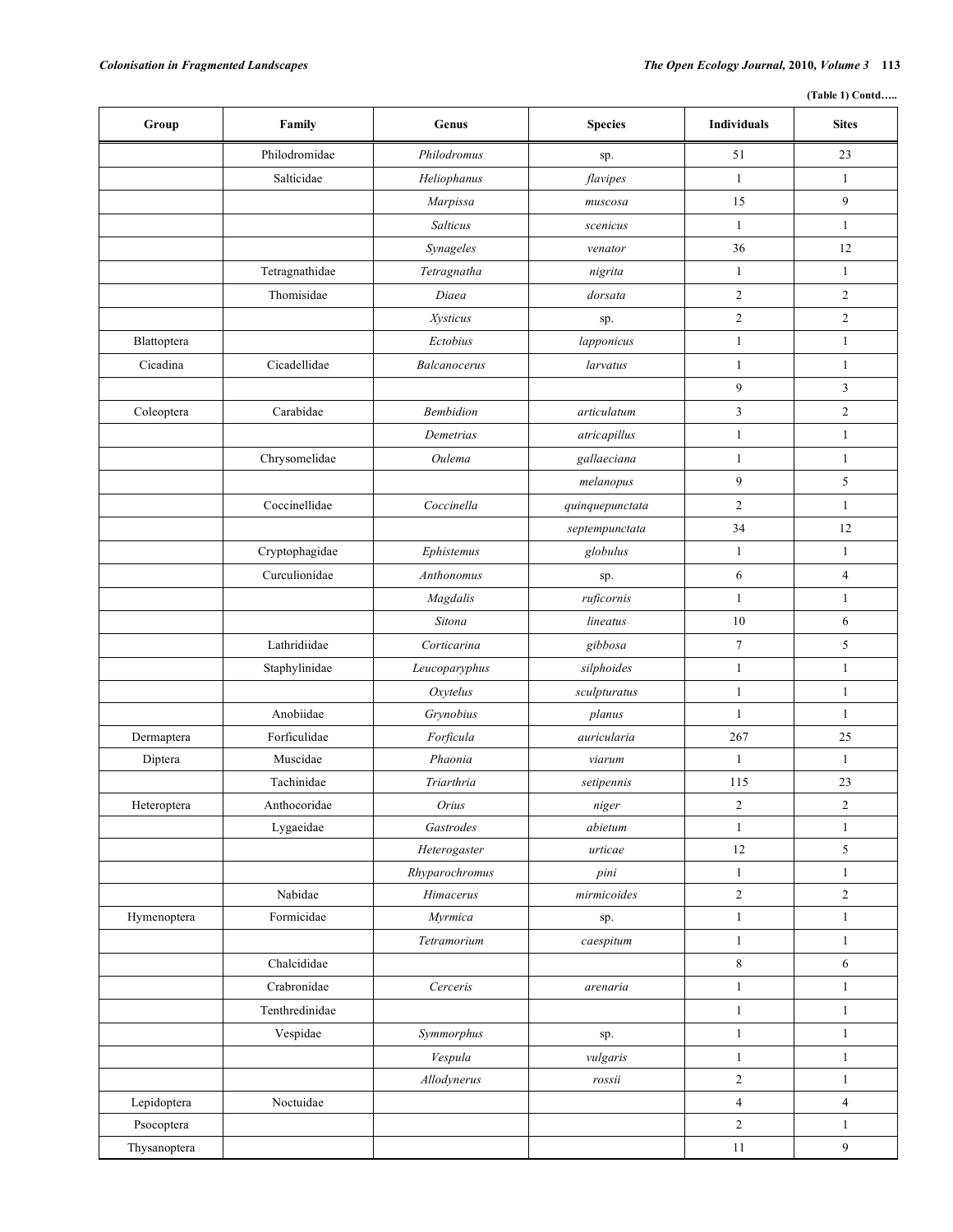**(Table 1) Contd…..**

| Group        | Family         | Genus            | <b>Species</b>  | <b>Individuals</b> | <b>Sites</b>     |
|--------------|----------------|------------------|-----------------|--------------------|------------------|
|              | Philodromidae  | Philodromus      | sp.             | 51                 | 23               |
|              | Salticidae     | Heliophanus      | flavipes        | $\mathbf{1}$       | $\mathbf{1}$     |
|              |                | Marpissa         | muscosa         | 15                 | 9                |
|              |                | Salticus         | scenicus        | $\mathbf{1}$       | $\mathbf{1}$     |
|              |                | Synageles        | venator         | 36                 | 12               |
|              | Tetragnathidae | Tetragnatha      | nigrita         | $\mathbf{1}$       | $\mathbf{1}$     |
|              | Thomisidae     | Diaea            | dorsata         | 2                  | $\overline{2}$   |
|              |                | <b>Xysticus</b>  | sp.             | $\sqrt{2}$         | $\overline{c}$   |
| Blattoptera  |                | Ectobius         | lapponicus      | $\mathbf{1}$       | $\mathbf{1}$     |
| Cicadina     | Cicadellidae   | Balcanocerus     | larvatus        | $\mathbf{1}$       | $\mathbf{1}$     |
|              |                |                  |                 | 9                  | 3                |
| Coleoptera   | Carabidae      | <b>Bembidion</b> | articulatum     | $\mathfrak{Z}$     | $\overline{2}$   |
|              |                | Demetrias        | atricapillus    | $\mathbf{1}$       | $\mathbf{1}$     |
|              | Chrysomelidae  | Oulema           | gallaeciana     | $\mathbf{1}$       | $\mathbf{1}$     |
|              |                |                  | melanopus       | 9                  | 5                |
|              | Coccinellidae  | Coccinella       | quinquepunctata | $\overline{c}$     | $\mathbf{1}$     |
|              |                |                  | septempunctata  | 34                 | 12               |
|              | Cryptophagidae | Ephistemus       | globulus        | $\mathbf{1}$       | $\mathbf{1}$     |
|              | Curculionidae  | Anthonomus       | sp.             | 6                  | $\overline{4}$   |
|              |                | Magdalis         | ruficornis      | $\mathbf{1}$       | $\mathbf{1}$     |
|              |                | Sitona           | lineatus        | 10                 | 6                |
|              | Lathridiidae   | Corticarina      | gibbosa         | $\boldsymbol{7}$   | 5                |
|              | Staphylinidae  | Leucoparyphus    | silphoides      | $\mathbf{1}$       | $\mathbf{1}$     |
|              |                | Oxytelus         | sculpturatus    | $\mathbf{1}$       | $\mathbf{1}$     |
|              | Anobiidae      | Grynobius        | planus          | $\mathbf{1}$       | 1                |
| Dermaptera   | Forficulidae   | Forficula        | auricularia     | 267                | $25\,$           |
| Diptera      | Muscidae       | Phaonia          | viarum          | $\mathbf{1}$       | $\mathbf{1}$     |
|              | Tachinidae     | Triarthria       | setipennis      | 115                | 23               |
| Heteroptera  | Anthocoridae   | Orius            | niger           | $\sqrt{2}$         | $\boldsymbol{2}$ |
|              | Lygaeidae      | Gastrodes        | abietum         | $\mathbf{1}$       | $\mathbf{1}$     |
|              |                | Heterogaster     | urticae         | $12\,$             | 5                |
|              |                | Rhyparochromus   | pini            | $\mathbf{1}$       | $\mathbf{1}$     |
|              | Nabidae        | Himacerus        | mirmicoides     | $\sqrt{2}$         | $\sqrt{2}$       |
| Hymenoptera  | Formicidae     | Myrmica          | sp.             | $\mathbf{1}$       | $\mathbf{1}$     |
|              |                | Tetramorium      | caespitum       | $\mathbf{1}$       | $\mathbf{1}$     |
|              | Chalcididae    |                  |                 | $\,8\,$            | 6                |
|              | Crabronidae    | Cerceris         | arenaria        | $\,1$              | $\mathbf{1}$     |
|              | Tenthredinidae |                  |                 | $\mathbf{1}$       | $\mathbf{1}$     |
|              | Vespidae       | Symmorphus       | sp.             | $\mathbf{1}$       | $\mathbf{1}$     |
|              |                | Vespula          | vulgaris        | $\mathbf{1}$       | $\mathbf{1}$     |
|              |                | Allodynerus      | rossii          | $\sqrt{2}$         | $\mathbf{1}$     |
| Lepidoptera  | Noctuidae      |                  |                 | $\overline{4}$     | $\overline{4}$   |
| Psocoptera   |                |                  |                 | $\overline{2}$     | $\mathbf{1}$     |
| Thysanoptera |                |                  |                 | $11\,$             | $\overline{9}$   |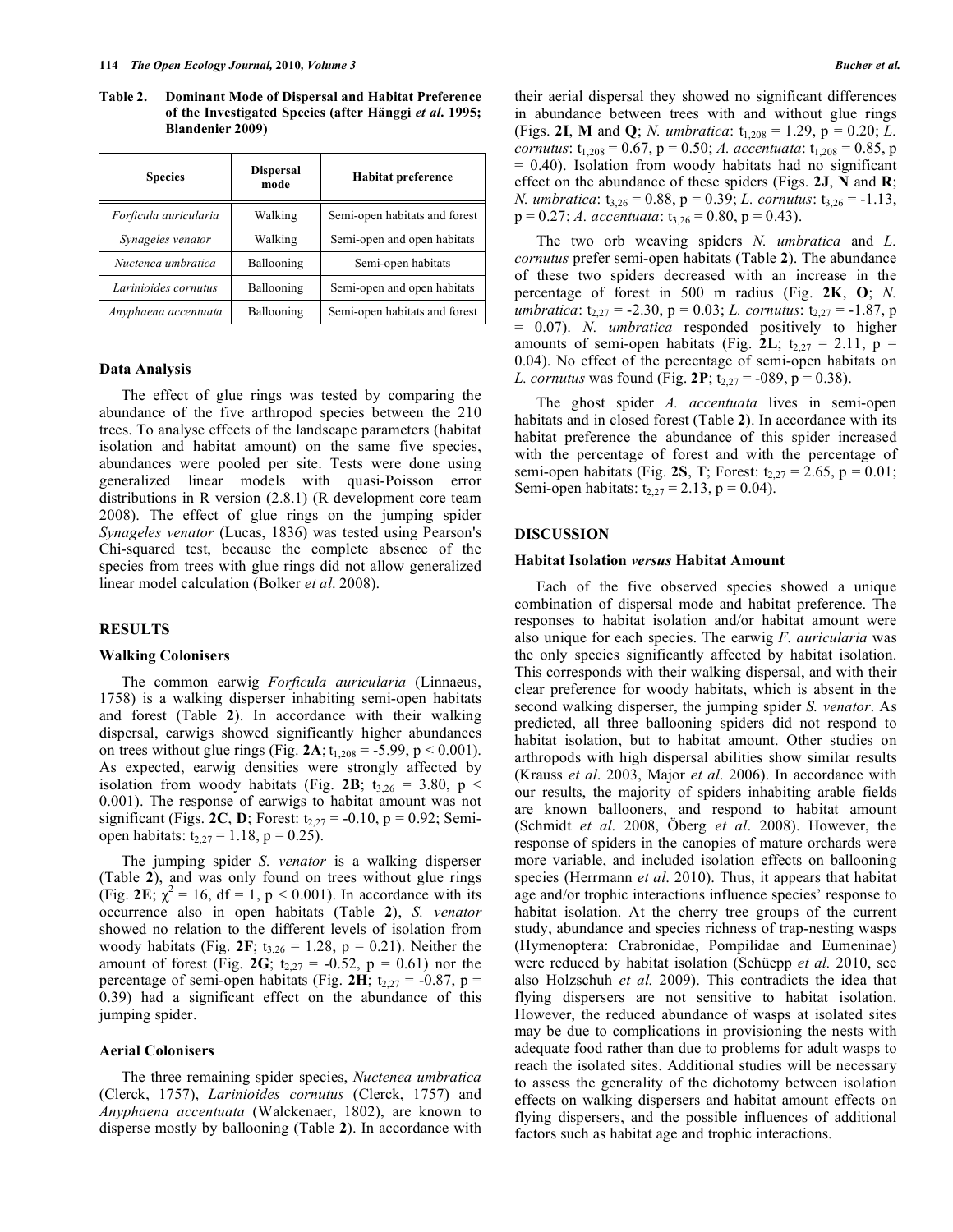**Table 2. Dominant Mode of Dispersal and Habitat Preference of the Investigated Species (after Hänggi** *et al***. 1995; Blandenier 2009)**

| <b>Species</b>        | <b>Dispersal</b><br>mode | <b>Habitat preference</b>     |  |
|-----------------------|--------------------------|-------------------------------|--|
| Forficula auricularia | Walking                  | Semi-open habitats and forest |  |
| Synageles venator     | Walking                  | Semi-open and open habitats   |  |
| Nuctenea umbratica    | Ballooning               | Semi-open habitats            |  |
| Larinioides cornutus  | Ballooning               | Semi-open and open habitats   |  |
| Anyphaena accentuata  | Ballooning               | Semi-open habitats and forest |  |

#### **Data Analysis**

The effect of glue rings was tested by comparing the abundance of the five arthropod species between the 210 trees. To analyse effects of the landscape parameters (habitat isolation and habitat amount) on the same five species, abundances were pooled per site. Tests were done using generalized linear models with quasi-Poisson error distributions in R version (2.8.1) (R development core team 2008). The effect of glue rings on the jumping spider *Synageles venator* (Lucas, 1836) was tested using Pearson's Chi-squared test, because the complete absence of the species from trees with glue rings did not allow generalized linear model calculation (Bolker *et al*. 2008).

### **RESULTS**

#### **Walking Colonisers**

The common earwig *Forficula auricularia* (Linnaeus, 1758) is a walking disperser inhabiting semi-open habitats and forest (Table **2**). In accordance with their walking dispersal, earwigs showed significantly higher abundances on trees without glue rings (Fig. 2A;  $t_{1,208} = -5.99$ , p < 0.001). As expected, earwig densities were strongly affected by isolation from woody habitats (Fig. 2B;  $t_{3,26} = 3.80$ ,  $p <$ 0.001). The response of earwigs to habitat amount was not significant (Figs. **2C**, **D**; Forest:  $t_{2,27} = -0.10$ ,  $p = 0.92$ ; Semiopen habitats:  $t_{2,27} = 1.18$ , p = 0.25).

The jumping spider *S. venator* is a walking disperser (Table **2**), and was only found on trees without glue rings (Fig. 2E;  $\chi^2 = 16$ , df = 1, p < 0.001). In accordance with its occurrence also in open habitats (Table **2**), *S. venator* showed no relation to the different levels of isolation from woody habitats (Fig.  $2F$ ; t<sub>3,26</sub> = 1.28, p = 0.21). Neither the amount of forest (Fig. 2G;  $t_{2,27} = -0.52$ ,  $p = 0.61$ ) nor the percentage of semi-open habitats (Fig. 2H;  $t_{2,27} = -0.87$ , p = 0.39) had a significant effect on the abundance of this jumping spider.

### **Aerial Colonisers**

The three remaining spider species, *Nuctenea umbratica* (Clerck, 1757), *Larinioides cornutus* (Clerck, 1757) and *Anyphaena accentuata* (Walckenaer, 1802), are known to disperse mostly by ballooning (Table **2**). In accordance with their aerial dispersal they showed no significant differences in abundance between trees with and without glue rings (Figs. 2I, M and Q; *N. umbratica*:  $t_{1,208} = 1.29$ ,  $p = 0.20$ ; *L. cornutus*:  $t_{1,208} = 0.67$ ,  $p = 0.50$ ; *A. accentuata*:  $t_{1,208} = 0.85$ , p  $= 0.40$ ). Isolation from woody habitats had no significant effect on the abundance of these spiders (Figs. **2J**, **N** and **R**; *N. umbratica*:  $t_{3,26} = 0.88$ ,  $p = 0.39$ ; *L. cornutus*:  $t_{3,26} = -1.13$ ,  $p = 0.27$ ; *A. accentuata*:  $t_{3,26} = 0.80$ ,  $p = 0.43$ ).

The two orb weaving spiders *N. umbratica* and *L. cornutus* prefer semi-open habitats (Table **2**). The abundance of these two spiders decreased with an increase in the percentage of forest in 500 m radius (Fig. **2K**, **O**; *N. umbratica*:  $t_{2,27} = -2.30$ ,  $p = 0.03$ ; *L. cornutus*:  $t_{2,27} = -1.87$ , p = 0.07). *N. umbratica* responded positively to higher amounts of semi-open habitats (Fig. 2L;  $t_{2,27} = 2.11$ , p = 0.04). No effect of the percentage of semi-open habitats on *L. cornutus* was found (Fig. 2P;  $t_{2,27} = -089$ ,  $p = 0.38$ ).

The ghost spider *A. accentuata* lives in semi-open habitats and in closed forest (Table **2**). In accordance with its habitat preference the abundance of this spider increased with the percentage of forest and with the percentage of semi-open habitats (Fig. 2S, T; Forest:  $t_{2,27} = 2.65$ ,  $p = 0.01$ ; Semi-open habitats:  $t_{2,27} = 2.13$ , p = 0.04).

#### **DISCUSSION**

#### **Habitat Isolation** *versus* **Habitat Amount**

Each of the five observed species showed a unique combination of dispersal mode and habitat preference. The responses to habitat isolation and/or habitat amount were also unique for each species. The earwig *F. auricularia* was the only species significantly affected by habitat isolation. This corresponds with their walking dispersal, and with their clear preference for woody habitats, which is absent in the second walking disperser, the jumping spider *S. venator*. As predicted, all three ballooning spiders did not respond to habitat isolation, but to habitat amount. Other studies on arthropods with high dispersal abilities show similar results (Krauss *et al*. 2003, Major *et al*. 2006). In accordance with our results, the majority of spiders inhabiting arable fields are known ballooners, and respond to habitat amount (Schmidt *et al*. 2008, Öberg *et al*. 2008). However, the response of spiders in the canopies of mature orchards were more variable, and included isolation effects on ballooning species (Herrmann *et al*. 2010). Thus, it appears that habitat age and/or trophic interactions influence species' response to habitat isolation. At the cherry tree groups of the current study, abundance and species richness of trap-nesting wasps (Hymenoptera: Crabronidae, Pompilidae and Eumeninae) were reduced by habitat isolation (Schüepp *et al.* 2010, see also Holzschuh *et al.* 2009). This contradicts the idea that flying dispersers are not sensitive to habitat isolation. However, the reduced abundance of wasps at isolated sites may be due to complications in provisioning the nests with adequate food rather than due to problems for adult wasps to reach the isolated sites. Additional studies will be necessary to assess the generality of the dichotomy between isolation effects on walking dispersers and habitat amount effects on flying dispersers, and the possible influences of additional factors such as habitat age and trophic interactions.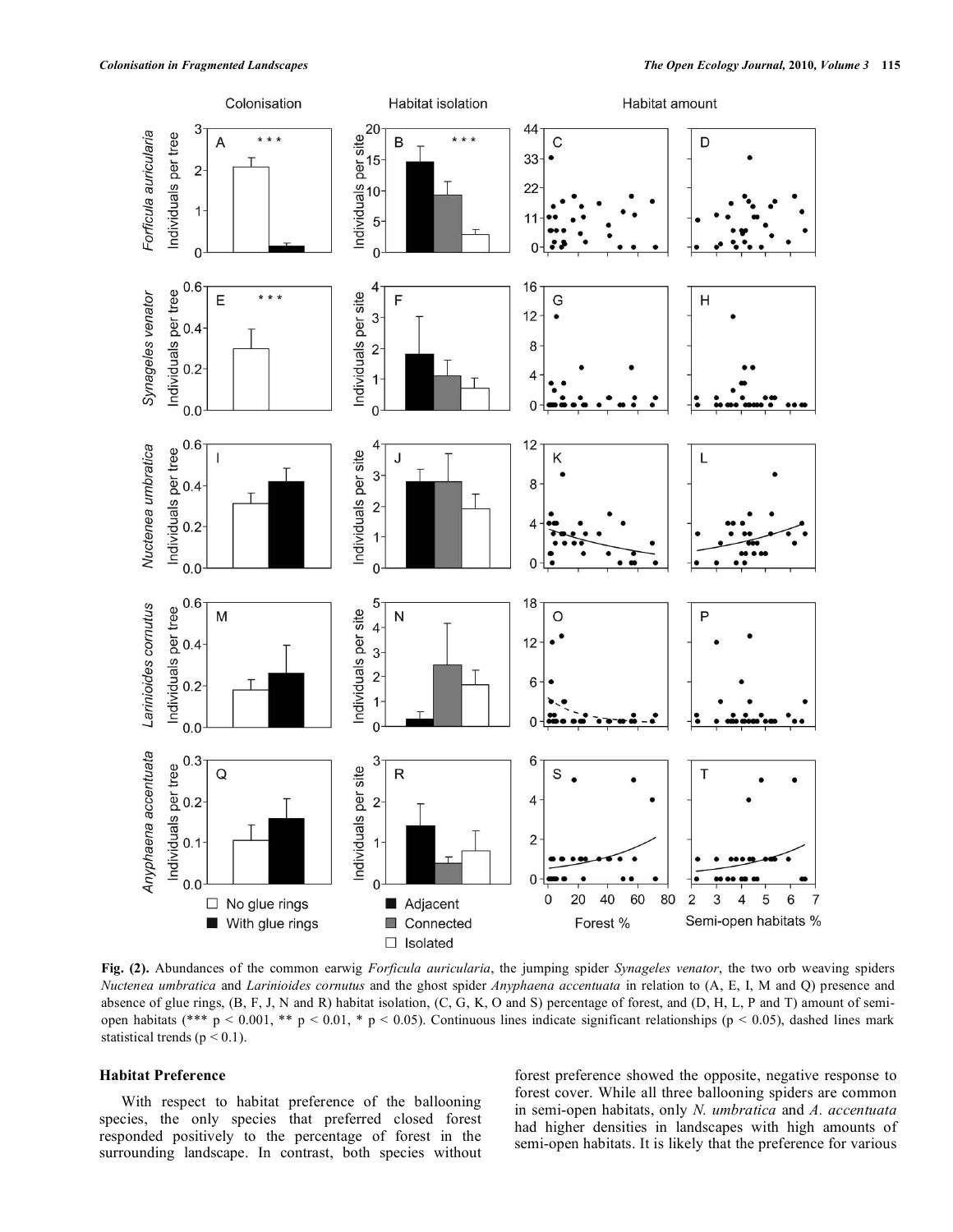

**Fig. (2).** Abundances of the common earwig *Forficula auricularia*, the jumping spider *Synageles venator*, the two orb weaving spiders *Nuctenea umbratica* and *Larinioides cornutus* and the ghost spider *Anyphaena accentuata* in relation to (A, E, I, M and Q) presence and absence of glue rings, (B, F, J, N and R) habitat isolation, (C, G, K, O and S) percentage of forest, and (D, H, L, P and T) amount of semiopen habitats (\*\*\* p < 0.001, \*\* p < 0.01, \* p < 0.05). Continuous lines indicate significant relationships (p < 0.05), dashed lines mark statistical trends ( $p < 0.1$ ).

## **Habitat Preference**

With respect to habitat preference of the ballooning species, the only species that preferred closed forest responded positively to the percentage of forest in the surrounding landscape. In contrast, both species without forest preference showed the opposite, negative response to forest cover. While all three ballooning spiders are common in semi-open habitats, only *N. umbratica* and *A. accentuata* had higher densities in landscapes with high amounts of semi-open habitats. It is likely that the preference for various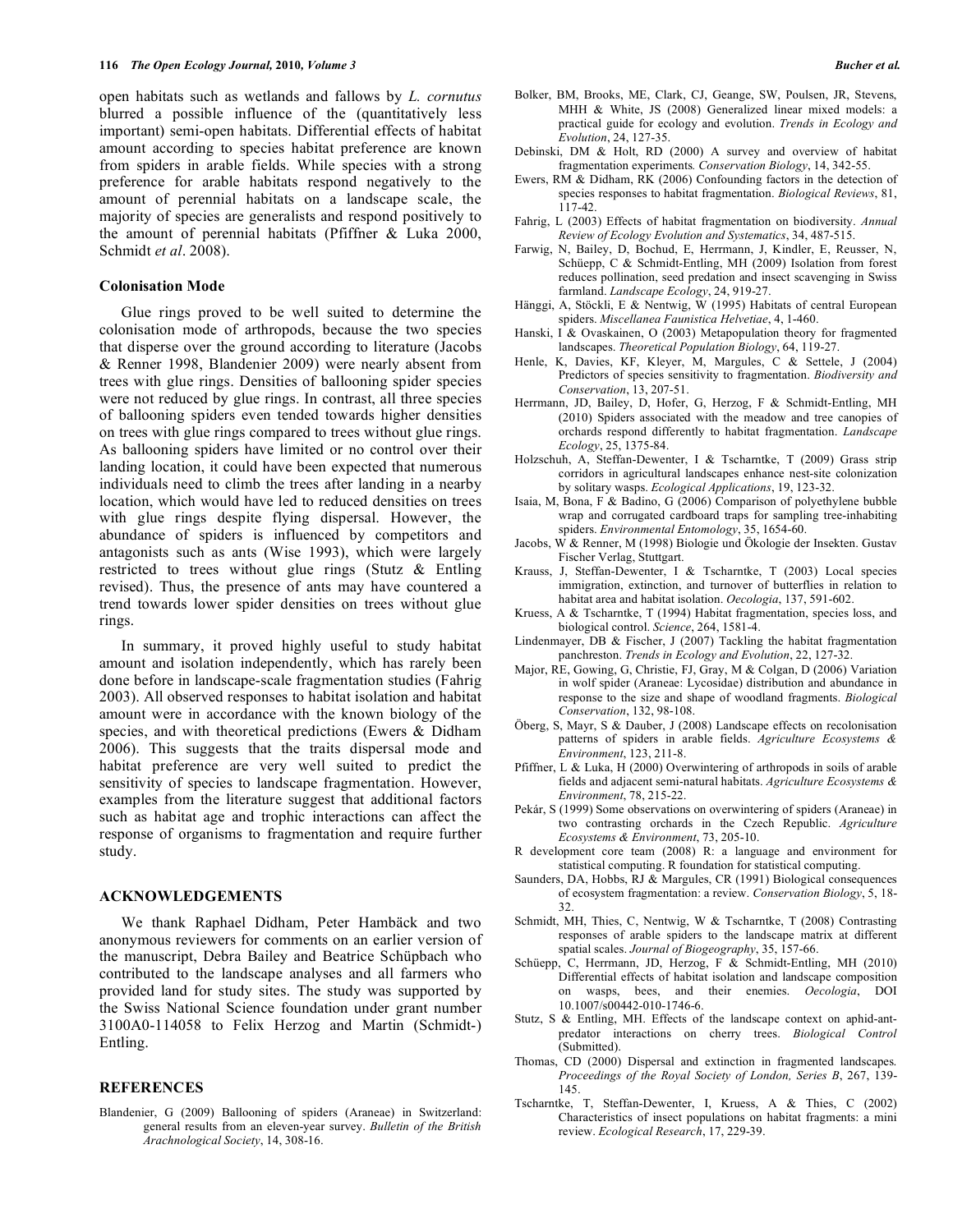open habitats such as wetlands and fallows by *L. cornutus* blurred a possible influence of the (quantitatively less important) semi-open habitats. Differential effects of habitat amount according to species habitat preference are known from spiders in arable fields. While species with a strong preference for arable habitats respond negatively to the amount of perennial habitats on a landscape scale, the majority of species are generalists and respond positively to the amount of perennial habitats (Pfiffner & Luka 2000, Schmidt *et al*. 2008).

#### **Colonisation Mode**

Glue rings proved to be well suited to determine the colonisation mode of arthropods, because the two species that disperse over the ground according to literature (Jacobs & Renner 1998, Blandenier 2009) were nearly absent from trees with glue rings. Densities of ballooning spider species were not reduced by glue rings. In contrast, all three species of ballooning spiders even tended towards higher densities on trees with glue rings compared to trees without glue rings. As ballooning spiders have limited or no control over their landing location, it could have been expected that numerous individuals need to climb the trees after landing in a nearby location, which would have led to reduced densities on trees with glue rings despite flying dispersal. However, the abundance of spiders is influenced by competitors and antagonists such as ants (Wise 1993), which were largely restricted to trees without glue rings (Stutz & Entling revised). Thus, the presence of ants may have countered a trend towards lower spider densities on trees without glue rings.

In summary, it proved highly useful to study habitat amount and isolation independently, which has rarely been done before in landscape-scale fragmentation studies (Fahrig 2003). All observed responses to habitat isolation and habitat amount were in accordance with the known biology of the species, and with theoretical predictions (Ewers & Didham 2006). This suggests that the traits dispersal mode and habitat preference are very well suited to predict the sensitivity of species to landscape fragmentation. However, examples from the literature suggest that additional factors such as habitat age and trophic interactions can affect the response of organisms to fragmentation and require further study.

#### **ACKNOWLEDGEMENTS**

We thank Raphael Didham, Peter Hambäck and two anonymous reviewers for comments on an earlier version of the manuscript, Debra Bailey and Beatrice Schüpbach who contributed to the landscape analyses and all farmers who provided land for study sites. The study was supported by the Swiss National Science foundation under grant number 3100A0-114058 to Felix Herzog and Martin (Schmidt-) Entling.

### **REFERENCES**

Blandenier, G (2009) Ballooning of spiders (Araneae) in Switzerland: general results from an eleven-year survey. *Bulletin of the British Arachnological Society*, 14, 308-16.

- Bolker, BM, Brooks, ME, Clark, CJ, Geange, SW, Poulsen, JR, Stevens, MHH & White, JS (2008) Generalized linear mixed models: a practical guide for ecology and evolution. *Trends in Ecology and Evolution*, 24, 127-35.
- Debinski, DM & Holt, RD (2000) A survey and overview of habitat fragmentation experiments*. Conservation Biology*, 14, 342-55.
- Ewers, RM & Didham, RK (2006) Confounding factors in the detection of species responses to habitat fragmentation. *Biological Reviews*, 81, 117-42.
- Fahrig, L (2003) Effects of habitat fragmentation on biodiversity. *Annual Review of Ecology Evolution and Systematics*, 34, 487-515.
- Farwig, N, Bailey, D, Bochud, E, Herrmann, J, Kindler, E, Reusser, N, Schüepp, C & Schmidt-Entling, MH (2009) Isolation from forest reduces pollination, seed predation and insect scavenging in Swiss farmland. *Landscape Ecology*, 24, 919-27.
- Hänggi, A, Stöckli, E & Nentwig, W (1995) Habitats of central European spiders. *Miscellanea Faunistica Helvetiae*, 4, 1-460.
- Hanski, I & Ovaskainen, O (2003) Metapopulation theory for fragmented landscapes. *Theoretical Population Biology*, 64, 119-27.
- Henle, K, Davies, KF, Kleyer, M, Margules, C & Settele, J (2004) Predictors of species sensitivity to fragmentation. *Biodiversity and Conservation*, 13, 207-51.
- Herrmann, JD, Bailey, D, Hofer, G, Herzog, F & Schmidt-Entling, MH (2010) Spiders associated with the meadow and tree canopies of orchards respond differently to habitat fragmentation. *Landscape Ecology*, 25, 1375-84.
- Holzschuh, A, Steffan-Dewenter, I & Tscharntke, T (2009) Grass strip corridors in agricultural landscapes enhance nest-site colonization by solitary wasps. *Ecological Applications*, 19, 123-32.
- Isaia, M, Bona, F & Badino, G (2006) Comparison of polyethylene bubble wrap and corrugated cardboard traps for sampling tree-inhabiting spiders. *Environmental Entomology*, 35, 1654-60.
- Jacobs, W & Renner, M (1998) Biologie und Ökologie der Insekten. Gustav Fischer Verlag, Stuttgart.
- Krauss, J, Steffan-Dewenter, I & Tscharntke, T (2003) Local species immigration, extinction, and turnover of butterflies in relation to habitat area and habitat isolation. *Oecologia*, 137, 591-602.
- Kruess, A & Tscharntke, T (1994) Habitat fragmentation, species loss, and biological control. *Science*, 264, 1581-4.
- Lindenmayer, DB & Fischer, J (2007) Tackling the habitat fragmentation panchreston. *Trends in Ecology and Evolution*, 22, 127-32.
- Major, RE, Gowing, G, Christie, FJ, Gray, M & Colgan, D (2006) Variation in wolf spider (Araneae: Lycosidae) distribution and abundance in response to the size and shape of woodland fragments. *Biological Conservation*, 132, 98-108.
- Öberg, S, Mayr, S & Dauber, J (2008) Landscape effects on recolonisation patterns of spiders in arable fields. *Agriculture Ecosystems & Environment*, 123, 211-8.
- Pfiffner, L & Luka, H (2000) Overwintering of arthropods in soils of arable fields and adjacent semi-natural habitats. *Agriculture Ecosystems & Environment*, 78, 215-22.
- Pekár, S (1999) Some observations on overwintering of spiders (Araneae) in two contrasting orchards in the Czech Republic. *Agriculture Ecosystems & Environment*, 73, 205-10.
- R development core team (2008) R: a language and environment for statistical computing. R foundation for statistical computing.
- Saunders, DA, Hobbs, RJ & Margules, CR (1991) Biological consequences of ecosystem fragmentation: a review. *Conservation Biology*, 5, 18- 32.
- Schmidt, MH, Thies, C, Nentwig, W & Tscharntke, T (2008) Contrasting responses of arable spiders to the landscape matrix at different spatial scales. *Journal of Biogeography*, 35, 157-66.
- Schüepp, C, Herrmann, JD, Herzog, F & Schmidt-Entling, MH (2010) Differential effects of habitat isolation and landscape composition on wasps, bees, and their enemies. *Oecologia*, DOI 10.1007/s00442-010-1746-6.
- Stutz, S & Entling, MH. Effects of the landscape context on aphid-antpredator interactions on cherry trees. *Biological Control* (Submitted).
- Thomas, CD (2000) Dispersal and extinction in fragmented landscapes. *Proceedings of the Royal Society of London, Series B*, 267, 139- 145.
- Tscharntke, T, Steffan-Dewenter, I, Kruess, A & Thies, C (2002) Characteristics of insect populations on habitat fragments: a mini review. *Ecological Research*, 17, 229-39.